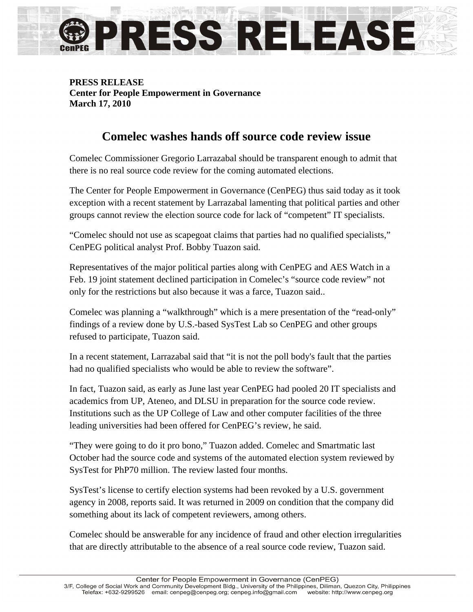

## **PRESS RELEASE Center for People Empowerment in Governance March 17, 2010**

## **Comelec washes hands off source code review issue**

Comelec Commissioner Gregorio Larrazabal should be transparent enough to admit that there is no real source code review for the coming automated elections.

The Center for People Empowerment in Governance (CenPEG) thus said today as it took exception with a recent statement by Larrazabal lamenting that political parties and other groups cannot review the election source code for lack of "competent" IT specialists.

"Comelec should not use as scapegoat claims that parties had no qualified specialists," CenPEG political analyst Prof. Bobby Tuazon said.

Representatives of the major political parties along with CenPEG and AES Watch in a Feb. 19 joint statement declined participation in Comelec's "source code review" not only for the restrictions but also because it was a farce, Tuazon said..

Comelec was planning a "walkthrough" which is a mere presentation of the "read-only" findings of a review done by U.S.-based SysTest Lab so CenPEG and other groups refused to participate, Tuazon said.

In a recent statement, Larrazabal said that "it is not the poll body's fault that the parties had no qualified specialists who would be able to review the software".

In fact, Tuazon said, as early as June last year CenPEG had pooled 20 IT specialists and academics from UP, Ateneo, and DLSU in preparation for the source code review. Institutions such as the UP College of Law and other computer facilities of the three leading universities had been offered for CenPEG's review, he said.

"They were going to do it pro bono," Tuazon added. Comelec and Smartmatic last October had the source code and systems of the automated election system reviewed by SysTest for PhP70 million. The review lasted four months.

SysTest's license to certify election systems had been revoked by a U.S. government agency in 2008, reports said. It was returned in 2009 on condition that the company did something about its lack of competent reviewers, among others.

Comelec should be answerable for any incidence of fraud and other election irregularities that are directly attributable to the absence of a real source code review, Tuazon said.